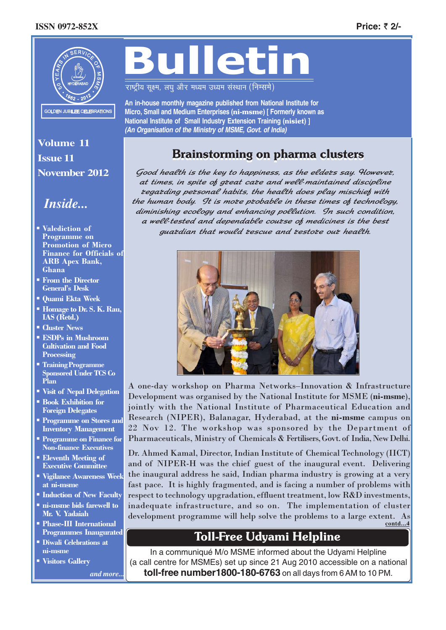### **ISSN 0972-852X Price:** ` **2/-**



# Bulletin

राष्ट्रीय सुक्ष्म, लघु और मध्यम उध्यम संस्थान (निम्समे)

**An in-house monthly magazine published from National Institute for Micro, Small and Medium Enterprises (**ni-msme**) [ Formerly known as National Institute of Small Industry Extension Training (**nisiet**) ]** *(An Organisation of the Ministry of MSME, Govt. of India)*

## Brainstorming on pharma clusters

Good health is the key to happiness, as the eldets say. Howevet, at times, in spite of great care and well*-*maintained discipline regarding personal habits, the health does play mischief with the human body. It is mote ptobable in these times of technology, diminishing ecology and enhancing pollution. In such condition, a well*-*tested and dependable course of medicines is the best guardian that would rescue and restore our health.



A one-day workshop on Pharma Networks–Innovation & Infrastructure Development was organised by the National Institute for MSME (ni-msme), jointly with the National Institute of Pharmaceutical Education and Research (NIPER), Balanagar, Hyderabad, at the ni-msme campus on 22 Nov 12. The workshop was sponsored by the Department of Pharmaceuticals, Ministry of Chemicals & Fertilisers, Govt. of India, New Delhi.

Dr. Ahmed Kamal, Director, Indian Institute of Chemical Technology (IICT) and of NIPER-H was the chief guest of the inaugural event. Delivering the inaugural address he said, Indian pharma industry is growing at a very fast pace. It is highly fragmented, and is facing a number of problems with respect to technology upgradation, effluent treatment, low R&D investments, inadequate infrastructure, and so on. The implementation of cluster development programme will help solve the problems to a large extent. As **contd...4**

## Toll-Free Udyami Helpline

In a communiqué M/o MSME informed about the Udyami Helpline (a call centre for MSMEs) set up since 21 Aug 2010 accessible on a national **toll-free number1800-180-6763** on all days from 6 AM to 10 PM.

**Volume 11 Issue 11 November 2012**

# *Inside... Inside...*

- - Valediction of Programme on Promotion of Micro Finance for Officials of ARB Apex Bank, Ghana
- From the Director General's Desk
- Quami Ekta Week
- Homage to Dr. S. K. Rau, IAS (Retd.)
- **Cluster News**
- ESDPs in Mushroom Cultivation and Food **Processing**
- Training Programme Sponsored Under TCS Co Plan
- **Visit of Nepal Delegation Book Exhibition for**
- Foreign Delegates **Programme on Stores and** Inventory Management
- **Programme on Finance for** Non-finance Executives
- **Eleventh Meeting of** Executive Committee
- **Vigilance Awareness Week** at ni-msme
- **Induction of New Faculty**
- ni-msme bids farewell to Mr. V. Yadaiah
- **Phase-III International** Programmes Inaugurated
- **Diwali Celebrations at** ni-msme
- -Visitors Gallery

*and more...*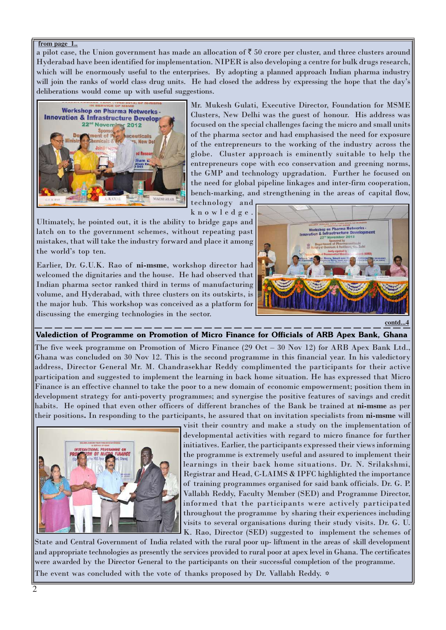#### **from page 1..**

a pilot case, the Union government has made an allocation of  $\bar{z}$  50 crore per cluster, and three clusters around Hyderabad have been identified for implementation. NIPER is also developing a centre for bulk drugs research, which will be enormously useful to the enterprises. By adopting a planned approach Indian pharma industry will join the ranks of world class drug units. He had closed the address by expressing the hope that the day's deliberations would come up with useful suggestions.



Mr. Mukesh Gulati, Executive Director, Foundation for MSME Clusters, New Delhi was the guest of honour. His address was focused on the special challenges facing the micro and small units of the pharma sector and had emphasised the need for exposure of the entrepreneurs to the working of the industry across the globe. Cluster approach is eminently suitable to help the entrepreneurs cope with eco conservation and greening norms, the GMP and technology upgradation. Further he focused on the need for global pipeline linkages and inter-firm cooperation, bench-marking, and strengthening in the areas of capital flow,

technology and knowledge.

Ultimately, he pointed out, it is the ability to bridge gaps and latch on to the government schemes, without repeating past mistakes, that will take the industry forward and place it among the world's top ten.

Earlier, Dr. G.U.K. Rao of ni-msme, workshop director had welcomed the dignitaries and the house. He had observed that Indian pharma sector ranked third in terms of manufacturing volume, and Hyderabad, with three clusters on its outskirts, is the major hub. This workshop was conceived as a platform for discussing the emerging technologies in the sector.



### Valediction of Programme on Promotion of Micro Finance for Officials of ARB Apex Bank, Ghana

The five week programme on Promotion of Micro Finance (29 Oct - 30 Nov 12) for ARB Apex Bank Ltd. Ghana was concluded on 30 Nov 12. This is the second programme in this financial year. In his valedictory address, Director General Mr. M. Chandrasekhar Reddy complimented the participants for their active participation and suggested to implement the learning in back home situation. He has expressed that Micro Finance is an effective channel to take the poor to a new domain of economic empowerment; position them in development strategy for anti-poverty programmes; and synergise the positive features of savings and credit habits. He opined that even other officers of different branches of the Bank be trained at ni-msme as per their positions. In responding to the participants, he assured that on invitation specialists from ni-msme will



visit their country and make a study on the implementation of developmental activities with regard to micro finance for further initiatives. Earlier, the participants expressed their views informing the programme is extremely useful and assured to implement their learnings in their back home situations. Dr. N. Srilakshmi, Registrar and Head, C-LAIMS & IPFC highlighted the importance of training programmes organised for said bank officials. Dr. G. P. Vallabh Reddy, Faculty Member (SED) and Programme Director, informed that the participants were actively participated throughout the programme by sharing their experiences including visits to several organisations during their study visits. Dr. G. U. K. Rao, Director (SED) suggested to implement the schemes of

The event was concluded with the vote of thanks proposed by Dr. Vallabh Reddy.  $\diamond$ State and Central Government of India related with the rural poor up- liftment in the areas of skill development and appropriate technologies as presently the services provided to rural poor at apex level in Ghana. The certificates were awarded by the Director General to the participants on their successful completion of the programme.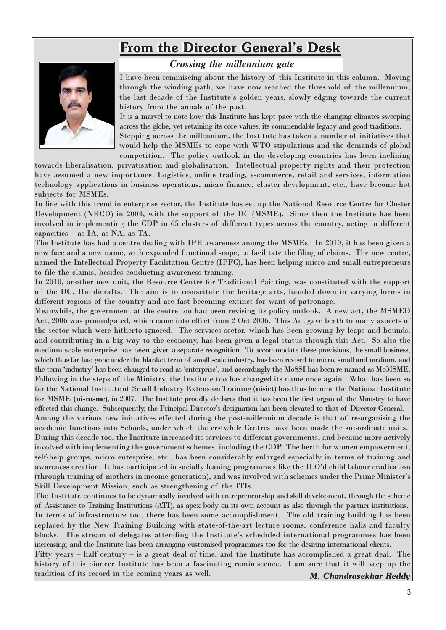# From the Director General's Desk



## *Crossing the millennium gate*

I have been reminiscing about the history of this Institute in this column. Moving through the winding path, we have now reached the threshold of the millennium, the last decade of the Institute's golden years, slowly edging towards the current history from the annals of the past.

It is a marvel to note how this Institute has kept pace with the changing climates sweeping across the globe, yet retaining its core values, its commendable legacy and good traditions.

Stepping across the millennium, the Institute has taken a number of initiatives that would help the MSMEs to cope with WTO stipulations and the demands of global competition. The policy outlook in the developing countries has been inclining

towards liberalisation, privatisation and globalisation. Intellectual property rights and their protection have assumed a new importance. Logistics, online trading, e-commerce, retail and services, information technology applications in business operations, micro finance, cluster development, etc., have become hot subjects for MSMEs.

In line with this trend in enterprise sector, the Institute has set up the National Resource Centre for Cluster Development (NRCD) in 2004, with the support of the DC (MSME). Since then the Institute has been involved in implementing the CDP in 65 clusters of different types across the country, acting in different capacities – as IA, as NA, as TA.

The Institute has had a centre dealing with IPR awareness among the MSMEs. In 2010, it has been given a new face and a new name, with expanded functional scope, to facilitate the filing of claims. The new centre, named the Intellectual Property Facilitation Centre (IPFC), has been helping micro and small entrepreneurs to file the claims, besides conducting awareness training.

In 2010, another new unit, the Resource Centre for Traditional Painting, was constituted with the support of the DC, Handicrafts. The aim is to resuscitate the heritage arts, handed down in varying forms in different regions of the country and are fast becoming extinct for want of patronage.

Meanwhile, the government at the centre too had been revising its policy outlook. A new act, the MSMED Act, 2006 was promulgated, which came into effect from 2 Oct 2006. This Act gave berth to many aspects of the sector which were hitherto ignored. The services sector, which has been growing by leaps and bounds, and contributing in a big way to the economy, has been given a legal status through this Act. So also the medium scale enterprise has been given a separate recognition. To accommodate these provisions, the small business, which thus far had gone under the blanket term of small scale industry, has been revised to micro, small and medium, and the term 'industry' has been changed to read as 'enterprise', and accordingly the MoSSI has been re-named as MoMSME. Following in the steps of the Ministry, the Institute too has changed its name once again. What has been so far the National Institute of Small Industry Extension Training (nisiet) has thus become the National Institute for MSME (ni-msme), in 2007. The Institute proudly declares that it has been the first organ of the Ministry to have effected this change. Subsequently, the Principal Director's designation has been elevated to that of Director General.

Among the various new initiatives effected during the post-millennium decade is that of re-organising the academic functions into Schools, under which the erstwhile Centres have been made the subordinate units. During this decade too, the Institute increased its services to different governments, and became more actively involved with implementing the government schemes, including the CDP. The berth for women empowerment, self-help groups, micro enterprise, etc., has been considerably enlarged especially in terms of training and awareness creation. It has participated in socially leaning programmes like the ILO'd child labour eradication (through training of mothers in income generation), and was involved with schemes under the Prime Minister's Skill Development Mission, such as strengthening of the ITIs.

The Institute continues to be dynamically involved with entrepreneurship and skill development, through the scheme of Assistance to Training Institutions (ATI), as apex body on its own account as also through the partner institutions. In terms of infrastructure too, there has been some accomplishment. The old training building has been replaced by the New Training Building with state-of-the-art lecture rooms, conference halls and faculty blocks. The stream of delegates attending the Institute's scheduled international programmes has been increasing, and the Institute has been arranging customised programmes too for the desiring international clients.

 *M. Chandrasekhar Reddy* Fifty years – half century – is a great deal of time, and the Institute has accomplished a great deal. The history of this pioneer Institute has been a fascinating reminiscence. I am sure that it will keep up the tradition of its record in the coming years as well.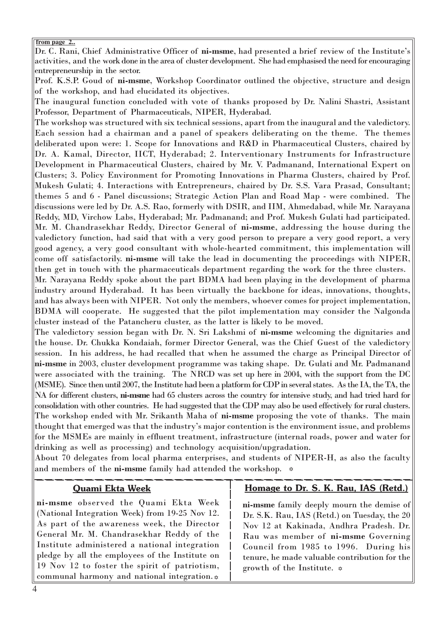#### **from page 2..**

Dr. C. Rani, Chief Administrative Officer of ni-msme, had presented a brief review of the Institute's activities, and the work done in the area of cluster development. She had emphasised the need for encouraging entrepreneurship in the sector.

Prof. K.S.P. Goud of ni-msme, Workshop Coordinator outlined the objective, structure and design of the workshop, and had elucidated its objectives.

The inaugural function concluded with vote of thanks proposed by Dr. Nalini Shastri, Assistant Professor, Department of Pharmaceuticals, NIPER, Hyderabad.

The workshop was structured with six technical sessions, apart from the inaugural and the valedictory. Each session had a chairman and a panel of speakers deliberating on the theme. The themes deliberated upon were: 1. Scope for Innovations and R&D in Pharmaceutical Clusters, chaired by Dr. A. Kamal, Director, IICT, Hyderabad; 2. Interventionary Instruments for Infrastructure Development in Pharmaceutical Clusters, chaired by Mr. V. Padmanand, International Expert on Clusters; 3. Policy Environment for Promoting Innovations in Pharma Clusters, chaired by Prof. Mukesh Gulati; 4. Interactions with Entrepreneurs, chaired by Dr. S.S. Vara Prasad, Consultant; themes 5 and 6 - Panel discussions; Strategic Action Plan and Road Map - were combined. The discussions were led by Dr. A.S. Rao, formerly with DSIR, and IIM, Ahmedabad, while Mr. Narayana Reddy, MD, Virchow Labs, Hyderabad; Mr. Padmanand; and Prof. Mukesh Gulati had participated. Mr. M. Chandrasekhar Reddy, Director General of ni-msme, addressing the house during the valedictory function, had said that with a very good person to prepare a very good report, a very good agency, a very good consultant with whole-hearted commitment, this implementation will come off satisfactorily. ni-msme will take the lead in documenting the proceedings with NIPER, then get in touch with the pharmaceuticals department regarding the work for the three clusters. Mr. Narayana Reddy spoke about the part BDMA had been playing in the development of pharma industry around Hyderabad. It has been virtually the backbone for ideas, innovations, thoughts, and has always been with NIPER. Not only the members, whoever comes for project implementation, BDMA will cooperate. He suggested that the pilot implementation may consider the Nalgonda cluster instead of the Patancheru cluster, as the latter is likely to be moved.

The valedictory session began with Dr. N. Sri Lakshmi of ni-msme welcoming the dignitaries and the house. Dr. Chukka Kondaiah, former Director General, was the Chief Guest of the valedictory session. In his address, he had recalled that when he assumed the charge as Principal Director of ni-msme in 2003, cluster development programme was taking shape. Dr. Gulati and Mr. Padmanand were associated with the training. The NRCD was set up here in 2004, with the support from the DC (MSME). Since then until 2007, the Institute had been a platform for CDP in several states. As the IA, the TA, the NA for different clusters, ni-msme had 65 clusters across the country for intensive study, and had tried hard for consolidation with other countries. He had suggested that the CDP may also be used effectively for rural clusters. The workshop ended with Mr. Srikanth Maha of ni-msme proposing the vote of thanks. The main thought that emerged was that the industry's major contention is the environment issue, and problems for the MSMEs are mainly in effluent treatment, infrastructure (internal roads, power and water for drinking as well as processing) and technology acquisition/upgradation.

About 70 delegates from local pharma enterprises, and students of NIPER-H, as also the faculty and members of the  $\hbox{\rm ni\text{-}msme}$  family had attended the workshop.  $\;\;\hat{=}\;$ 

## Quami Ekta Week

ni-msme observed the Quami Ekta Week (National Integration Week) from 19-25 Nov 12. As part of the awareness week, the Director General Mr. M. Chandrasekhar Reddy of the Institute administered a national integration pledge by all the employees of the Institute on 19 Nov 12 to foster the spirit of patriotism, communal harmony and national integration.  $\phi$ 

## Homage to Dr. S. K. Rau, IAS (Retd.)

ni-msme family deeply mourn the demise of Dr. S.K. Rau, IAS (Retd.) on Tuesday, the 20 Nov 12 at Kakinada, Andhra Pradesh. Dr. Rau was member of ni-msme Governing Council from 1985 to 1996. During his tenure, he made valuable contribution for the growth of the Institute.  $\infty$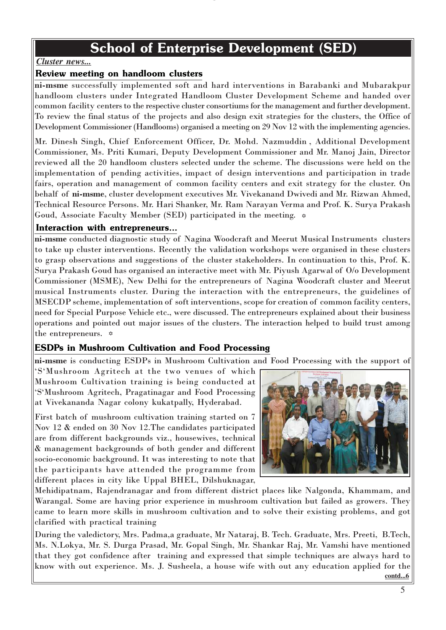# School of Enterprise Development (SED)

**g**

## *Cluster news...*

## Review meeting on handloom clusters

ni-msme successfully implemented soft and hard interventions in Barabanki and Mubarakpur handloom clusters under Integrated Handloom Cluster Development Scheme and handed over common facility centers to the respective cluster consortiums for the management and further development. To review the final status of the projects and also design exit strategies for the clusters, the Office of Development Commissioner (Handlooms) organised a meeting on 29 Nov 12 with the implementing agencies.

Mr. Dinesh Singh, Chief Enforcement Officer, Dr. Mohd. Nazmuddin , Additional Development Commissioner, Ms. Priti Kumari, Deputy Development Commissioner and Mr. Manoj Jain, Director reviewed all the 20 handloom clusters selected under the scheme. The discussions were held on the implementation of pending activities, impact of design interventions and participation in trade fairs, operation and management of common facility centers and exit strategy for the cluster. On behalf of ni-msme, cluster development executives Mr. Vivekanand Dwivedi and Mr. Rizwan Ahmed, Technical Resource Persons. Mr. Hari Shanker, Mr. Ram Narayan Verma and Prof. K. Surya Prakash Goud, Associate Faculty Member (SED) participated in the meeting. -

## Interaction with entrepreneurs...

ni-msme conducted diagnostic study of Nagina Woodcraft and Meerut Musical Instruments clusters to take up cluster interventions. Recently the validation workshops were organised in these clusters to grasp observations and suggestions of the cluster stakeholders. In continuation to this, Prof. K. Surya Prakash Goud has organised an interactive meet with Mr. Piyush Agarwal of O/o Development Commissioner (MSME), New Delhi for the entrepreneurs of Nagina Woodcraft cluster and Meerut musical Instruments cluster. During the interaction with the entrepreneurs, the guidelines of MSECDP scheme, implementation of soft interventions, scope for creation of common facility centers, need for Special Purpose Vehicle etc., were discussed. The entrepreneurs explained about their business operations and pointed out major issues of the clusters. The interaction helped to build trust among the entrepreneurs.  $\approx$ 

## ESDPs in Mushroom Cultivation and Food Processing

ni-msme is conducting ESDPs in Mushroom Cultivation and Food Processing with the support of

'S'Mushroom Agritech at the two venues of which Mushroom Cultivation training is being conducted at 'S'Mushroom Agritech, Pragatinagar and Food Processing at Vivekananda Nagar colony kukatpally, Hyderabad.

First batch of mushroom cultivation training started on 7 Nov 12 & ended on 30 Nov 12.The candidates participated are from different backgrounds viz., housewives, technical & management backgrounds of both gender and different socio-economic background. It was interesting to note that the participants have attended the programme from different places in city like Uppal BHEL, Dilshuknagar,



Mehidipatnam, Rajendranagar and from different district places like Nalgonda, Khammam, and Warangal. Some are having prior experience in mushroom cultivation but failed as growers. They came to learn more skills in mushroom cultivation and to solve their existing problems, and got clarified with practical training

During the valedictory, Mrs. Padma,a graduate, Mr Nataraj, B. Tech. Graduate, Mrs. Preeti, B.Tech, Ms. N.Lokya, Mr. S. Durga Prasad, Mr. Gopal Singh, Mr. Shankar Raj, Mr. Vamshi have mentioned that they got confidence after training and expressed that simple techniques are always hard to know with out experience. Ms. J. Susheela, a house wife with out any education applied for the **contd...6**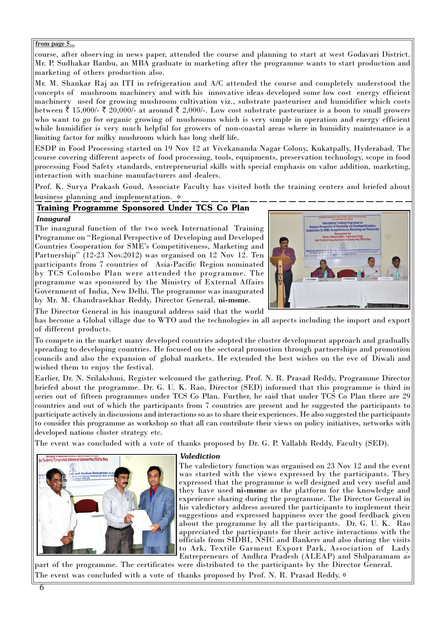#### **from page 5...**

course, after observing in news paper, attended the course and planning to start at west Godavari District. Mr. P. Sudhakar Banbu, an MBA graduate in marketing after the programme wants to start production and marketing of others production also.

Mr. M. Shankar Raj an ITI in refrigeration and A/C attended the course and completely understood the concepts of mushroom machinery and with his innovative ideas developed some low cost energy efficient machinery used for growing mushroom cultivation viz., substrate pasteuriser and humidifier which costs between  $\dot{\bar{\xi}}$  15,000/-  $\bar{\xi}$  20,000/- at around  $\bar{\xi}$  2,000/-. Low cost substrate pasteurizer is a boon to small growers who want to go for organic growing of mushrooms which is very simple in operation and energy efficient while humidifier is very much helpful for growers of non-coastal areas where in humidity maintenance is a limiting factor for milky mushroom which has long shelf life.

ESDP in Food Processing started on 19 Nov 12 at Vivekananda Nagar Colony, Kukatpally, Hyderabad. The course covering different aspects of food processing, tools, equipments, preservation technology, scope in food processing Food Safety standards, entrepreneurial skills with special emphasis on value addition, marketing, interaction with machine manufacturers and dealers.

Prof. K. Surya Prakash Goud, Associate Faculty has visited both the training centers and briefed about business planning and implementation.  $\triangle$ 

## Training Programme Sponsored Under TCS Co Plan *Inaugural*

The inaugural function of the two week International Training Programme on "Regional Perspective of Developing and Developed Countries Cooperation for SME's Competitiveness, Marketing and Partnership" (12-23 Nov.2012) was organised on 12 Nov 12. Ten participants from 7 countries of Asia-Pacific Region nominated by TCS Colombo Plan were attended the programme. The programme was sponsored by the Ministry of External Affairs Government of India, New Delhi. The programme was inaugurated by Mr. M. Chandrasekhar Reddy, Director General, ni-msme.



The Director General in his inaugural address said that the world

has become a Global village due to WTO and the technologies in all aspects including the import and export of different products.

To compete in the market many developed countries adopted the cluster development approach and gradually spreading to developing countries. He focused on the sectoral promotion through partnerships and promotion councils and also the expansion of global markets. He extended the best wishes on the eve of Diwali and wished them to enjoy the festival.

Earlier, Dr. N. Srilakshmi, Register welcomed the gathering. Prof. N. R. Prasad Reddy, Programme Director briefed about the programme. Dr. G. U. K. Rao, Director (SED) informed that this programme is third in series out of fifteen programmes under TCS Co Plan. Further, he said that under TCS Co Plan there are 29 countries and out of which the participants from 7 countries are present and he suggested the participants to participate actively in discussions and interactions so as to share their experiences. He also suggested the participants to consider this programme as workshop so that all can contribute their views on policy initiatives, networks with developed nations cluster strategy etc.

The event was concluded with a vote of thanks proposed by Dr. G. P. Vallabh Reddy, Faculty (SED).



## *Valediction*

The valedictory function was organised on 23 Nov 12 and the event was started with the views expressed by the participants. They expressed that the programme is well designed and very useful and they have used ni-msme as the platform for the knowledge and experience sharing during the programme. The Director General in his valedictory address assured the participants to implement their suggestions and expressed happiness over the good feedback given about the programme by all the participants. Dr. G. U. K. Rao appreciated the participants for their active interactions with the officials from SIDBI, NSIC and Bankers and also during the visits to Ark, Textile Garment Export Park, Association of Lady Entrepreneurs of Andhra Pradesh (ALEAP) and Shilparamam as

The event was concluded with a vote of thanks proposed by Prof. N. R. Prasad Reddy.  $\diamond$ part of the programme. The certificates were distributed to the participants by the Director General.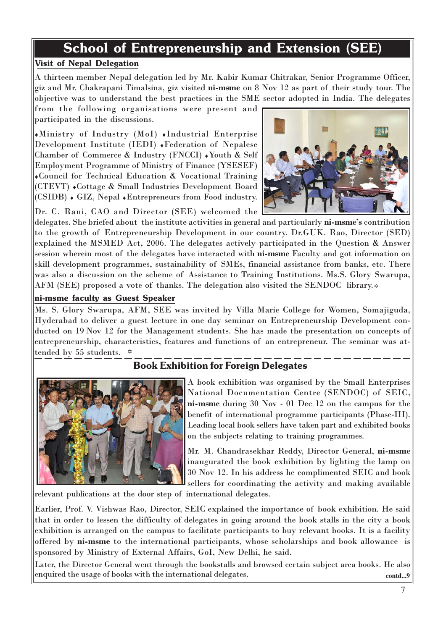# School of Entrepreneurship and Extension (SEE)

## Visit of Nepal Delegation

A thirteen member Nepal delegation led by Mr. Kabir Kumar Chitrakar, Senior Programme Officer, giz and Mr. Chakrapani Timalsina, giz visited ni-msme on 8 Nov 12 as part of their study tour. The objective was to understand the best practices in the SME sector adopted in India. The delegates

from the following organisations were present and participated in the discussions.

♦Ministry of Industry (MoI) ♦Industrial Enterprise Development Institute (IEDI) ♦Federation of Nepalese Chamber of Commerce & Industry (FNCCI) ♦Youth & Self Employment Programme of Ministry of Finance (YSESEF) ♦Council for Technical Education & Vocational Training (CTEVT) ♦Cottage & Small Industries Development Board (CSIDB) ♦ GIZ, Nepal ♦Entrepreneurs from Food industry.



Dr. C. Rani, CAO and Director (SEE) welcomed the delegates. She briefed about the institute activities in general and particularly ni-msme's contribution to the growth of Entrepreneurship Development in our country. Dr.GUK. Rao, Director (SED) explained the MSMED Act, 2006. The delegates actively participated in the Question & Answer session wherein most of the delegates have interacted with ni-msme Faculty and got information on skill development programmes, sustainability of SMEs, financial assistance from banks, etc. There was also a discussion on the scheme of Assistance to Training Institutions. Ms.S. Glory Swarupa, AFM (SEE) proposed a vote of thanks. The delegation also visited the SENDOC library.

## ni-msme faculty as Guest Speaker

Ms. S. Glory Swarupa, AFM, SEE was invited by Villa Marie College for Women, Somajiguda, Hyderabad to deliver a guest lecture in one day seminar on Entrepreneurship Development conducted on 19 Nov 12 for the Management students. She has made the presentation on concepts of entrepreneurship, characteristics, features and functions of an entrepreneur. The seminar was attended by 55 students.  $\overrightarrow{x}$ 

## Book Exhibition for Foreign Delegates



A book exhibition was organised by the Small Enterprises National Documentation Centre (SENDOC) of SEIC, ni-msme during 30 Nov - 01 Dec 12 on the campus for the benefit of international programme participants (Phase-III). Leading local book sellers have taken part and exhibited books on the subjects relating to training programmes.

Mr. M. Chandrasekhar Reddy, Director General, ni-msme inaugurated the book exhibition by lighting the lamp on 30 Nov 12. In his address he complimented SEIC and book sellers for coordinating the activity and making available

relevant publications at the door step of international delegates.

Earlier, Prof. V. Vishwas Rao, Director, SEIC explained the importance of book exhibition. He said that in order to lessen the difficulty of delegates in going around the book stalls in the city a book exhibition is arranged on the campus to facilitate participants to buy relevant books. It is a facility offered by ni-msme to the international participants, whose scholarships and book allowance is sponsored by Ministry of External Affairs, GoI, New Delhi, he said.

Later, the Director General went through the bookstalls and browsed certain subject area books. He also enquired the usage of books with the international delegates. **comparison** contd...9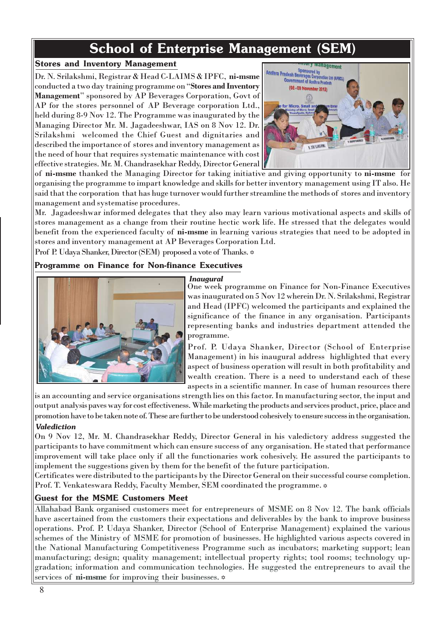# School of Enterprise Management (SEM)

## Stores and Inventory Management

Dr. N. Srilakshmi, Registrar & Head C-LAIMS & IPFC, ni-msme conducted a two day training programme on "Stores and Inventory Management" sponsored by AP Beverages Corporation, Govt of AP for the stores personnel of AP Beverage corporation Ltd., held during 8-9 Nov 12. The Programme was inaugurated by the Managing Director Mr. M. Jagadeeshwar, IAS on 8 Nov 12. Dr. Srilakshmi welcomed the Chief Guest and dignitaries and described the importance of stores and inventory management as the need of hour that requires systematic maintenance with cost effective strategies. Mr. M. Chandrasekhar Reddy, Director General



of ni-msme thanked the Managing Director for taking initiative and giving opportunity to ni-msme for organising the programme to impart knowledge and skills for better inventory management using IT also. He said that the corporation that has huge turnover would further streamline the methods of stores and inventory management and systematise procedures.

Mr. Jagadeeshwar informed delegates that they also may learn various motivational aspects and skills of stores management as a change from their routine hectic work life. He stressed that the delegates would benefit from the experienced faculty of ni-msme in learning various strategies that need to be adopted in stores and inventory management at AP Beverages Corporation Ltd.

Prof P. Udaya Shanker, Director (SEM) proposed a vote of Thanks.  $\Leftrightarrow$ 

## Programme on Finance for Non-finance Executives

## *Inaugural*



One week programme on Finance for Non-Finance Executives was inaugurated on 5 Nov 12 wherein Dr. N. Srilakshmi, Registrar and Head (IPFC) welcomed the participants and explained the significance of the finance in any organisation. Participants representing banks and industries department attended the programme.

Prof. P. Udaya Shanker, Director (School of Enterprise Management) in his inaugural address highlighted that every aspect of business operation will result in both profitability and wealth creation. There is a need to understand each of these aspects in a scientific manner. In case of human resources there

is an accounting and service organisations strength lies on this factor. In manufacturing sector, the input and output analysis paves way for cost effectiveness. While marketing the products and services product, price, place and promotion have to be taken note of. These are further to be understood cohesively to ensure success in the organisation.

## *Valediction*

On 9 Nov 12, Mr. M. Chandrasekhar Reddy, Director General in his valedictory address suggested the participants to have commitment which can ensure success of any organisation. He stated that performance improvement will take place only if all the functionaries work cohesively. He assured the participants to implement the suggestions given by them for the benefit of the future participation.

- Prof. T. Venkateswara Reddy, Faculty Member, SEM coordinated the programme.Certificates were distributed to the participants by the Director General on their successful course completion.

## Guest for the MSME Customers Meet

Allahabad Bank organised customers meet for entrepreneurs of MSME on 8 Nov 12. The bank officials have ascertained from the customers their expectations and deliverables by the bank to improve business operations. Prof. P. Udaya Shanker, Director (School of Enterprise Management) explained the various schemes of the Ministry of MSME for promotion of businesses. He highlighted various aspects covered in the National Manufacturing Competitiveness Programme such as incubators; marketing support; lean manufacturing; design; quality management; intellectual property rights; tool rooms; technology upgradation; information and communication technologies. He suggested the entrepreneurs to avail the services of ni-msme for improving their businesses.  $\triangle$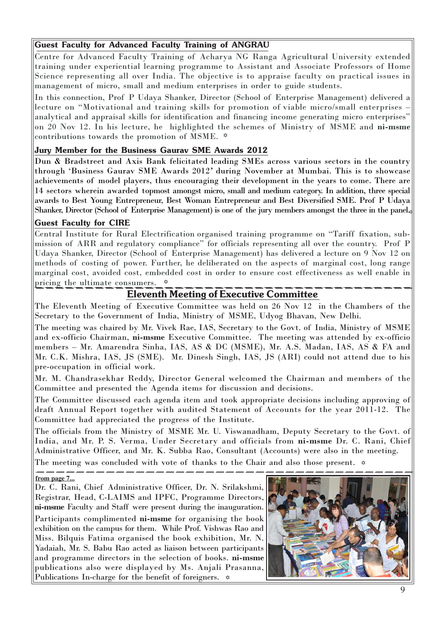## Guest Faculty for Advanced Faculty Training of ANGRAU

Centre for Advanced Faculty Training of Acharya NG Ranga Agricultural University extended training under experiential learning programme to Assistant and Associate Professors of Home Science representing all over India. The objective is to appraise faculty on practical issues in management of micro, small and medium enterprises in order to guide students.

In this connection, Prof P Udaya Shanker, Director (School of Enterprise Management) delivered a lecture on "Motivational and training skills for promotion of viable micro/small enterprises – analytical and appraisal skills for identification and financing income generating micro enterprises" on 20 Nov 12. In his lecture, he highlighted the schemes of Ministry of MSME and ni-msme contributions towards the promotion of MSME.

## Jury Member for the Business Gaurav SME Awards 2012

Dun & Bradstreet and Axis Bank felicitated leading SMEs across various sectors in the country through 'Business Gaurav SME Awards 2012' during November at Mumbai. This is to showcase achievements of model players, thus encouraging their development in the years to come. There are 14 sectors wherein awarded topmost amongst micro, small and medium category. In addition, three special awards to Best Young Entrepreneur, Best Woman Entrepreneur and Best Diversified SME. Prof P Udaya Shanker, Director (School of Enterprise Management) is one of the jury members amongst the three in the panel.

## Guest Faculty for CIRE

Central Institute for Rural Electrification organised training programme on "Tariff fixation, submission of ARR and regulatory compliance" for officials representing all over the country. Prof P Udaya Shanker, Director (School of Enterprise Management) has delivered a lecture on 9 Nov 12 on methods of costing of power. Further, he deliberated on the aspects of marginal cost, long range marginal cost, avoided cost, embedded cost in order to ensure cost effectiveness as well enable in pricing the ultimate consumers.

## Eleventh Meeting of Executive Committee

The Eleventh Meeting of Executive Committee was held on 26 Nov 12 in the Chambers of the Secretary to the Government of India, Ministry of MSME, Udyog Bhavan, New Delhi.

The meeting was chaired by Mr. Vivek Rae, IAS, Secretary to the Govt. of India, Ministry of MSME and ex-officio Chairman, ni-msme Executive Committee. The meeting was attended by ex-officio members – Mr. Amarendra Sinha, IAS, AS & DC (MSME), Mr. A.S. Madan, IAS, AS & FA and Mr. C.K. Mishra, IAS, JS (SME). Mr. Dinesh Singh, IAS, JS (ARI) could not attend due to his pre-occupation in official work.

Mr. M. Chandrasekhar Reddy, Director General welcomed the Chairman and members of the Committee and presented the Agenda items for discussion and decisions.

The Committee discussed each agenda item and took appropriate decisions including approving of draft Annual Report together with audited Statement of Accounts for the year 2011-12. The Committee had appreciated the progress of the Institute.

The officials from the Ministry of MSME Mr. U. Viswanadham, Deputy Secretary to the Govt. of India, and Mr. P. S. Verma, Under Secretary and officials from ni-msme Dr. C. Rani, Chief Administrative Officer, and Mr. K. Subba Rao, Consultant (Accounts) were also in the meeting.

The meeting was concluded with vote of thanks to the Chair and also those present.  $\diamond$ 

## **from page 7...**

Dr. C. Rani, Chief Administrative Officer, Dr. N. Srilakshmi, Registrar, Head, C-LAIMS and IPFC, Programme Directors, ni-msme Faculty and Staff were present during the inauguration. Participants complimented ni-msme for organising the book exhibition on the campus for them. While Prof. Vishwas Rao and Miss. Bilquis Fatima organised the book exhibition, Mr. N. Yadaiah, Mr. S. Babu Rao acted as liaison between participants and programme directors in the selection of books. ni-msme publications also were displayed by Ms. Anjali Prasanna, Publications In-charge for the benefit of foreigners.  $\approx$ 

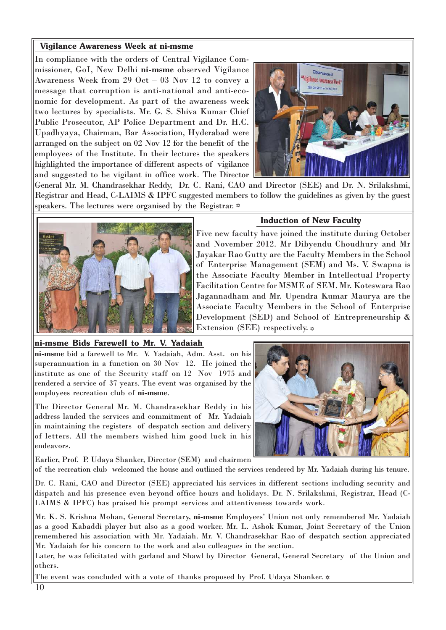## Vigilance Awareness Week at ni-msme

In compliance with the orders of Central Vigilance Commissioner, GoI, New Delhi ni-msme observed Vigilance Awareness Week from 29 Oct – 03 Nov 12 to convey a message that corruption is anti-national and anti-economic for development. As part of the awareness week two lectures by specialists. Mr. G. S. Shiva Kumar Chief Public Prosecutor, AP Police Department and Dr. H.C. Upadhyaya, Chairman, Bar Association, Hyderabad were arranged on the subject on 02 Nov 12 for the benefit of the employees of the Institute. In their lectures the speakers highlighted the importance of different aspects of vigilance and suggested to be vigilant in office work. The Director



General Mr. M. Chandrasekhar Reddy, Dr. C. Rani, CAO and Director (SEE) and Dr. N. Srilakshmi, Registrar and Head, C-LAIMS & IPFC suggested members to follow the guidelines as given by the guest speakers. The lectures were organised by the Registrar.  $\triangle$ 



## **Induction of New Faculty**

Five new faculty have joined the institute during October and November 2012. Mr Dibyendu Choudhury and Mr Jayakar Rao Gutty are the Faculty Members in the School of Enterprise Management (SEM) and Ms. V. Swapna is the Associate Faculty Member in Intellectual Property Facilitation Centre for MSME of SEM. Mr. Koteswara Rao Jagannadham and Mr. Upendra Kumar Maurya are the Associate Faculty Members in the School of Enterprise Development (SED) and School of Entrepreneurship & Extension (SEE) respectively.  $\triangle$ 

## ni-msme Bids Farewell to Mr. V. Yadaiah

ni-msme bid a farewell to Mr. V. Yadaiah, Adm. Asst. on his superannuation in a function on 30 Nov 12. He joined the institute as one of the Security staff on 12 Nov 1975 and rendered a service of 37 years. The event was organised by the employees recreation club of ni-msme.

The Director General Mr. M. Chandrasekhar Reddy in his address lauded the services and commitment of Mr. Yadaiah in maintaining the registers of despatch section and delivery of letters. All the members wished him good luck in his endeavors.

Earlier, Prof. P. Udaya Shanker, Director (SEM) and chairmen



of the recreation club welcomed the house and outlined the services rendered by Mr. Yadaiah during his tenure.

Dr. C. Rani, CAO and Director (SEE) appreciated his services in different sections including security and dispatch and his presence even beyond office hours and holidays. Dr. N. Srilakshmi, Registrar, Head (C-LAIMS & IPFC) has praised his prompt services and attentiveness towards work.

Mr. K. S. Krishna Mohan, General Secretary, ni-msme Employees' Union not only remembered Mr. Yadaiah as a good Kabaddi player but also as a good worker. Mr. L. Ashok Kumar, Joint Secretary of the Union remembered his association with Mr. Yadaiah. Mr. V. Chandrasekhar Rao of despatch section appreciated Mr. Yadaiah for his concern to the work and also colleagues in the section.

Later, he was felicitated with garland and Shawl by Director General, General Secretary of the Union and others.

The event was concluded with a vote of thanks proposed by Prof. Udaya Shanker.  $\diamond$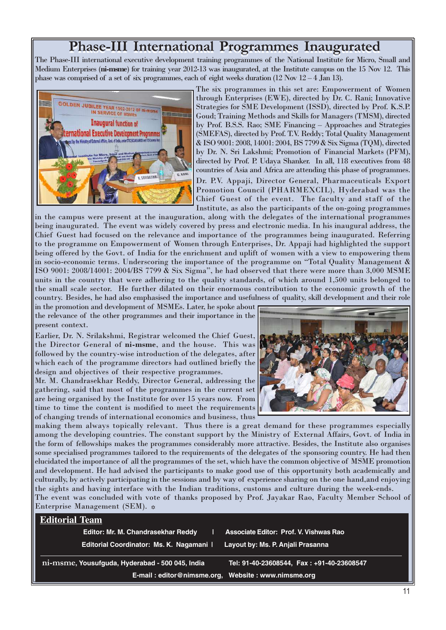# Phase-III International Programmes Inaugurated

The Phase-III international executive development training programmes of the National Institute for Micro, Small and Medium Enterprises (ni-msme) for training year 2012-13 was inaugurated, at the Institute campus on the 15 Nov 12. This phase was comprised of a set of six programmes, each of eight weeks duration  $(12 \text{ Nov } 12-4 \text{ Jan } 13)$ .



The six programmes in this set are: Empowerment of Women through Enterprises (EWE), directed by Dr. C. Rani; Innovative Strategies for SME Development (ISSD), directed by Prof. K.S.P. Goud; Training Methods and Skills for Managers (TMSM), directed by Prof. B.S.S. Rao; SME Financing – Approaches and Strategies (SMEFAS), directed by Prof. T.V. Reddy; Total Quality Management & ISO 9001: 2008, 14001: 2004, BS 7799 & Six Sigma (TQM), directed by Dr. N. Sri Lakshmi; Promotion of Financial Markets (PFM), directed by Prof. P. Udaya Shanker. In all, 118 executives from 48 countries of Asia and Africa are attending this phase of programmes.

Dr. P.V. Appaji, Director General, Pharmaceuticals Export Promotion Council (PHARMEXCIL), Hyderabad was the Chief Guest of the event. The faculty and staff of the Institute, as also the participants of the on-going programmes

in the campus were present at the inauguration, along with the delegates of the international programmes being inaugurated. The event was widely covered by press and electronic media. In his inaugural address, the Chief Guest had focused on the relevance and importance of the programmes being inaugurated. Referring to the programme on Empowerment of Women through Enterprises, Dr. Appaji had highlighted the support being offered by the Govt. of India for the enrichment and uplift of women with a view to empowering them in socio-economic terms. Underscoring the importance of the programme on "Total Quality Management & ISO 9001: 2008/14001: 2004/BS 7799 & Six Sigma", he had observed that there were more than 3,000 MSME units in the country that were adhering to the quality standards, of which around 1,500 units belonged to the small scale sector. He further dilated on their enormous contribution to the economic growth of the country. Besides, he had also emphasised the importance and usefulness of quality, skill development and their role

in the promotion and development of MSMEs. Later, he spoke about the relevance of the other programmes and their importance in the present context.

Earlier, Dr. N. Srilakshmi, Registrar welcomed the Chief Guest, the Director General of ni-msme, and the house. This was followed by the country-wise introduction of the delegates, after which each of the programme directors had outlined briefly the design and objectives of their respective programmes.

Mr. M. Chandrasekhar Reddy, Director General, addressing the gathering, said that most of the programmes in the current set are being organised by the Institute for over 15 years now. From time to time the content is modified to meet the requirements of changing trends of international economics and business, thus



making them always topically relevant. Thus there is a great demand for these programmes especially among the developing countries. The constant support by the Ministry of External Affairs, Govt. of India in the form of fellowships makes the programmes considerably more attractive. Besides, the Institute also organises some specialised programmes tailored to the requirements of the delegates of the sponsoring country. He had then elucidated the importance of all the programmes of the set, which have the common objective of MSME promotion and development. He had advised the participants to make good use of this opportunity both academically and culturally, by actively participating in the sessions and by way of experience sharing on the one hand,and enjoying the sights and having interface with the Indian traditions, customs and culture during the week-ends. The event was concluded with vote of thanks proposed by Prof. Jayakar Rao, Faculty Member School of Enterprise Management (SEM).  $\triangle$ 

| <b>Editorial Team</b> |                                                                                              |
|-----------------------|----------------------------------------------------------------------------------------------|
|                       | Editor: Mr. M. Chandrasekhar Reddy<br><b>Associate Editor: Prof. V. Vishwas Rao</b>          |
|                       | Editorial Coordinator: Ms. K. Nagamani  <br>Layout by: Ms. P. Anjali Prasanna                |
|                       | ni-msme, Yousufguda, Hyderabad - 500 045, India<br>Tel: 91-40-23608544, Fax: +91-40-23608547 |
|                       | E-mail: editor@nimsme.org, Website: www.nimsme.org                                           |